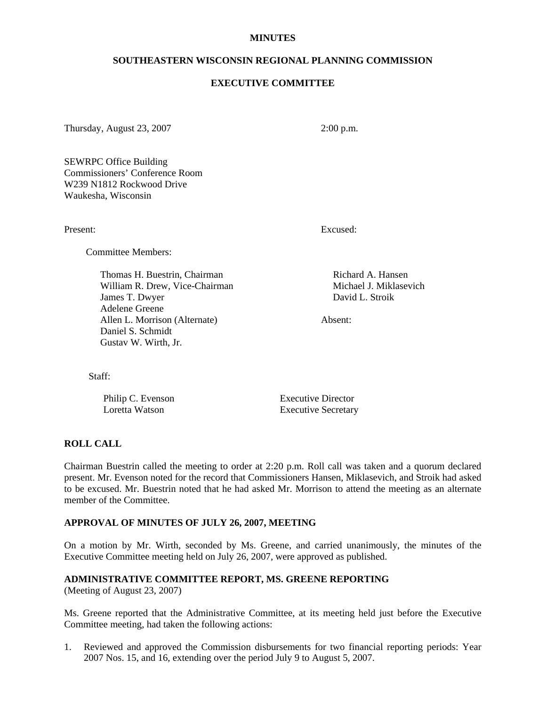#### **MINUTES**

#### **SOUTHEASTERN WISCONSIN REGIONAL PLANNING COMMISSION**

#### **EXECUTIVE COMMITTEE**

Thursday, August 23, 2007 2:00 p.m.

SEWRPC Office Building Commissioners' Conference Room W239 N1812 Rockwood Drive Waukesha, Wisconsin

Committee Members:

Thomas H. Buestrin, Chairman Richard A. Hansen William R. Drew, Vice-Chairman Michael J. Miklasevich James T. Dwyer David L. Stroik Adelene Greene Allen L. Morrison (Alternate) Absent: Daniel S. Schmidt Gustav W. Wirth, Jr.

Present: Excused:

Staff:

Philip C. Evenson Executive Director Loretta Watson Executive Secretary

# **ROLL CALL**

Chairman Buestrin called the meeting to order at 2:20 p.m. Roll call was taken and a quorum declared present. Mr. Evenson noted for the record that Commissioners Hansen, Miklasevich, and Stroik had asked to be excused. Mr. Buestrin noted that he had asked Mr. Morrison to attend the meeting as an alternate member of the Committee.

#### **APPROVAL OF MINUTES OF JULY 26, 2007, MEETING**

On a motion by Mr. Wirth, seconded by Ms. Greene, and carried unanimously, the minutes of the Executive Committee meeting held on July 26, 2007, were approved as published.

# **ADMINISTRATIVE COMMITTEE REPORT, MS. GREENE REPORTING**

(Meeting of August 23, 2007)

Ms. Greene reported that the Administrative Committee, at its meeting held just before the Executive Committee meeting, had taken the following actions:

1. Reviewed and approved the Commission disbursements for two financial reporting periods: Year 2007 Nos. 15, and 16, extending over the period July 9 to August 5, 2007.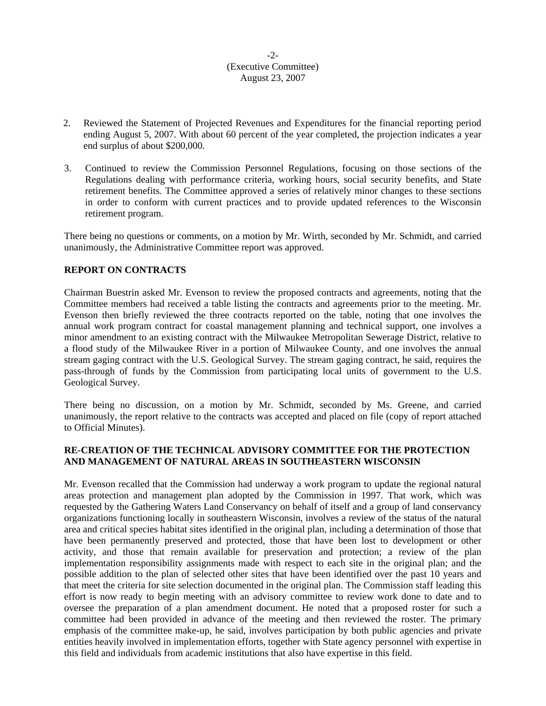# -2- (Executive Committee) August 23, 2007

- 2. Reviewed the Statement of Projected Revenues and Expenditures for the financial reporting period ending August 5, 2007. With about 60 percent of the year completed, the projection indicates a year end surplus of about \$200,000.
- 3. Continued to review the Commission Personnel Regulations, focusing on those sections of the Regulations dealing with performance criteria, working hours, social security benefits, and State retirement benefits. The Committee approved a series of relatively minor changes to these sections in order to conform with current practices and to provide updated references to the Wisconsin retirement program.

There being no questions or comments, on a motion by Mr. Wirth, seconded by Mr. Schmidt, and carried unanimously, the Administrative Committee report was approved.

# **REPORT ON CONTRACTS**

Chairman Buestrin asked Mr. Evenson to review the proposed contracts and agreements, noting that the Committee members had received a table listing the contracts and agreements prior to the meeting. Mr. Evenson then briefly reviewed the three contracts reported on the table, noting that one involves the annual work program contract for coastal management planning and technical support, one involves a minor amendment to an existing contract with the Milwaukee Metropolitan Sewerage District, relative to a flood study of the Milwaukee River in a portion of Milwaukee County, and one involves the annual stream gaging contract with the U.S. Geological Survey. The stream gaging contract, he said, requires the pass-through of funds by the Commission from participating local units of government to the U.S. Geological Survey.

There being no discussion, on a motion by Mr. Schmidt, seconded by Ms. Greene, and carried unanimously, the report relative to the contracts was accepted and placed on file (copy of report attached to Official Minutes).

# **RE-CREATION OF THE TECHNICAL ADVISORY COMMITTEE FOR THE PROTECTION AND MANAGEMENT OF NATURAL AREAS IN SOUTHEASTERN WISCONSIN**

Mr. Evenson recalled that the Commission had underway a work program to update the regional natural areas protection and management plan adopted by the Commission in 1997. That work, which was requested by the Gathering Waters Land Conservancy on behalf of itself and a group of land conservancy organizations functioning locally in southeastern Wisconsin, involves a review of the status of the natural area and critical species habitat sites identified in the original plan, including a determination of those that have been permanently preserved and protected, those that have been lost to development or other activity, and those that remain available for preservation and protection; a review of the plan implementation responsibility assignments made with respect to each site in the original plan; and the possible addition to the plan of selected other sites that have been identified over the past 10 years and that meet the criteria for site selection documented in the original plan. The Commission staff leading this effort is now ready to begin meeting with an advisory committee to review work done to date and to oversee the preparation of a plan amendment document. He noted that a proposed roster for such a committee had been provided in advance of the meeting and then reviewed the roster. The primary emphasis of the committee make-up, he said, involves participation by both public agencies and private entities heavily involved in implementation efforts, together with State agency personnel with expertise in this field and individuals from academic institutions that also have expertise in this field.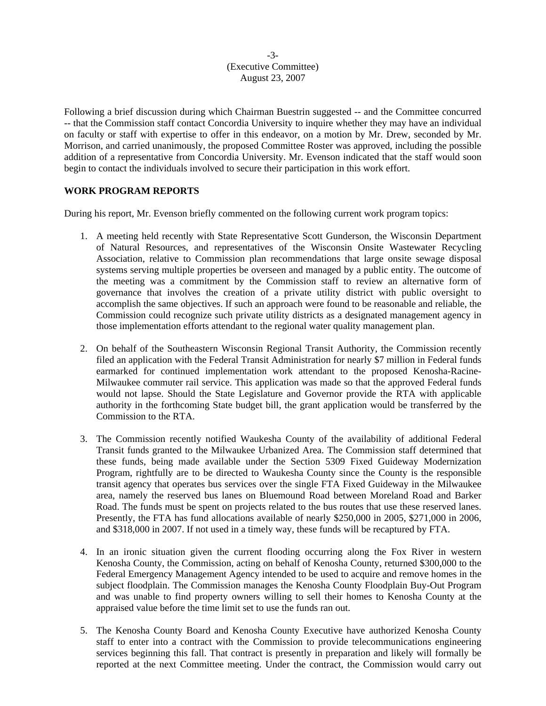### -3- (Executive Committee) August 23, 2007

Following a brief discussion during which Chairman Buestrin suggested -- and the Committee concurred -- that the Commission staff contact Concordia University to inquire whether they may have an individual on faculty or staff with expertise to offer in this endeavor, on a motion by Mr. Drew, seconded by Mr. Morrison, and carried unanimously, the proposed Committee Roster was approved, including the possible addition of a representative from Concordia University. Mr. Evenson indicated that the staff would soon begin to contact the individuals involved to secure their participation in this work effort.

# **WORK PROGRAM REPORTS**

During his report, Mr. Evenson briefly commented on the following current work program topics:

- 1. A meeting held recently with State Representative Scott Gunderson, the Wisconsin Department of Natural Resources, and representatives of the Wisconsin Onsite Wastewater Recycling Association, relative to Commission plan recommendations that large onsite sewage disposal systems serving multiple properties be overseen and managed by a public entity. The outcome of the meeting was a commitment by the Commission staff to review an alternative form of governance that involves the creation of a private utility district with public oversight to accomplish the same objectives. If such an approach were found to be reasonable and reliable, the Commission could recognize such private utility districts as a designated management agency in those implementation efforts attendant to the regional water quality management plan.
- 2. On behalf of the Southeastern Wisconsin Regional Transit Authority, the Commission recently filed an application with the Federal Transit Administration for nearly \$7 million in Federal funds earmarked for continued implementation work attendant to the proposed Kenosha-Racine-Milwaukee commuter rail service. This application was made so that the approved Federal funds would not lapse. Should the State Legislature and Governor provide the RTA with applicable authority in the forthcoming State budget bill, the grant application would be transferred by the Commission to the RTA.
- 3. The Commission recently notified Waukesha County of the availability of additional Federal Transit funds granted to the Milwaukee Urbanized Area. The Commission staff determined that these funds, being made available under the Section 5309 Fixed Guideway Modernization Program, rightfully are to be directed to Waukesha County since the County is the responsible transit agency that operates bus services over the single FTA Fixed Guideway in the Milwaukee area, namely the reserved bus lanes on Bluemound Road between Moreland Road and Barker Road. The funds must be spent on projects related to the bus routes that use these reserved lanes. Presently, the FTA has fund allocations available of nearly \$250,000 in 2005, \$271,000 in 2006, and \$318,000 in 2007. If not used in a timely way, these funds will be recaptured by FTA.
- 4. In an ironic situation given the current flooding occurring along the Fox River in western Kenosha County, the Commission, acting on behalf of Kenosha County, returned \$300,000 to the Federal Emergency Management Agency intended to be used to acquire and remove homes in the subject floodplain. The Commission manages the Kenosha County Floodplain Buy-Out Program and was unable to find property owners willing to sell their homes to Kenosha County at the appraised value before the time limit set to use the funds ran out.
- 5. The Kenosha County Board and Kenosha County Executive have authorized Kenosha County staff to enter into a contract with the Commission to provide telecommunications engineering services beginning this fall. That contract is presently in preparation and likely will formally be reported at the next Committee meeting. Under the contract, the Commission would carry out